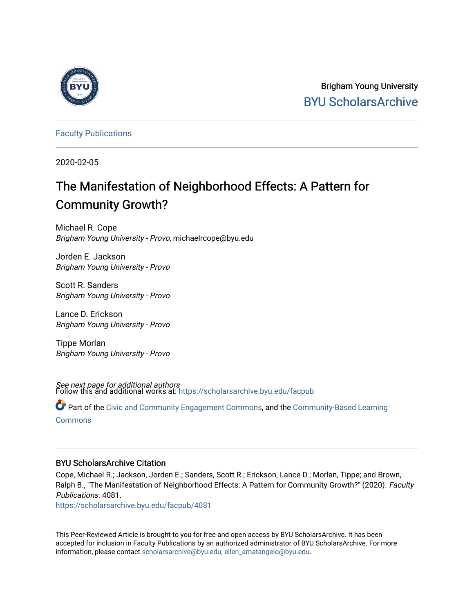

Brigham Young University [BYU ScholarsArchive](https://scholarsarchive.byu.edu/) 

[Faculty Publications](https://scholarsarchive.byu.edu/facpub)

2020-02-05

# The Manifestation of Neighborhood Effects: A Pattern for Community Growth?

Michael R. Cope Brigham Young University - Provo, michaelrcope@byu.edu

Jorden E. Jackson Brigham Young University - Provo

Scott R. Sanders Brigham Young University - Provo

Lance D. Erickson Brigham Young University - Provo

Tippe Morlan Brigham Young University - Provo

*See next page for additional authors*<br>Follow this and additional works at: https://scholarsarchive.byu.edu/facpub

Part of the [Civic and Community Engagement Commons](http://network.bepress.com/hgg/discipline/1028?utm_source=scholarsarchive.byu.edu%2Ffacpub%2F4081&utm_medium=PDF&utm_campaign=PDFCoverPages), and the [Community-Based Learning](http://network.bepress.com/hgg/discipline/1046?utm_source=scholarsarchive.byu.edu%2Ffacpub%2F4081&utm_medium=PDF&utm_campaign=PDFCoverPages) [Commons](http://network.bepress.com/hgg/discipline/1046?utm_source=scholarsarchive.byu.edu%2Ffacpub%2F4081&utm_medium=PDF&utm_campaign=PDFCoverPages)

## BYU ScholarsArchive Citation

Cope, Michael R.; Jackson, Jorden E.; Sanders, Scott R.; Erickson, Lance D.; Morlan, Tippe; and Brown, Ralph B., "The Manifestation of Neighborhood Effects: A Pattern for Community Growth?" (2020). Faculty Publications. 4081.

[https://scholarsarchive.byu.edu/facpub/4081](https://scholarsarchive.byu.edu/facpub/4081?utm_source=scholarsarchive.byu.edu%2Ffacpub%2F4081&utm_medium=PDF&utm_campaign=PDFCoverPages)

This Peer-Reviewed Article is brought to you for free and open access by BYU ScholarsArchive. It has been accepted for inclusion in Faculty Publications by an authorized administrator of BYU ScholarsArchive. For more information, please contact [scholarsarchive@byu.edu, ellen\\_amatangelo@byu.edu.](mailto:scholarsarchive@byu.edu,%20ellen_amatangelo@byu.edu)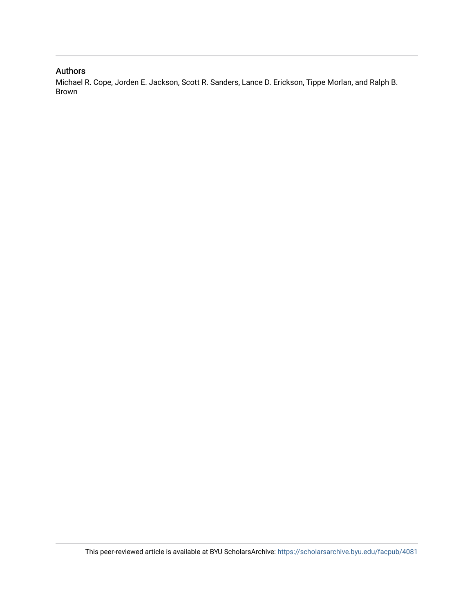## Authors

Michael R. Cope, Jorden E. Jackson, Scott R. Sanders, Lance D. Erickson, Tippe Morlan, and Ralph B. Brown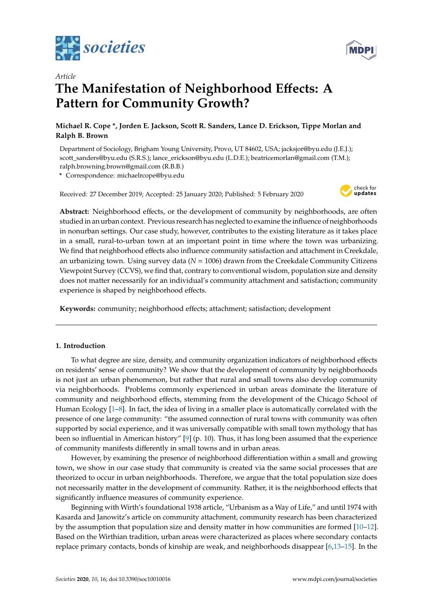



## *Article* **The Manifestation of Neighborhood E**ff**ects: A Pattern for Community Growth?**

### **Michael R. Cope \*, Jorden E. Jackson, Scott R. Sanders, Lance D. Erickson, Tippe Morlan and Ralph B. Brown**

Department of Sociology, Brigham Young University, Provo, UT 84602, USA; jacksjor@byu.edu (J.E.J.); scott\_sanders@byu.edu (S.R.S.); lance\_erickson@byu.edu (L.D.E.); beatricemorlan@gmail.com (T.M.); ralph.browning.brown@gmail.com (R.B.B.)

**\*** Correspondence: michaelrcope@byu.edu

Received: 27 December 2019; Accepted: 25 January 2020; Published: 5 February 2020



**Abstract:** Neighborhood effects, or the development of community by neighborhoods, are often studied in an urban context. Previous research has neglected to examine the influence of neighborhoods in nonurban settings. Our case study, however, contributes to the existing literature as it takes place in a small, rural-to-urban town at an important point in time where the town was urbanizing. We find that neighborhood effects also influence community satisfaction and attachment in Creekdale, an urbanizing town. Using survey data (*N* = 1006) drawn from the Creekdale Community Citizens Viewpoint Survey (CCVS), we find that, contrary to conventional wisdom, population size and density does not matter necessarily for an individual's community attachment and satisfaction; community experience is shaped by neighborhood effects.

**Keywords:** community; neighborhood effects; attachment; satisfaction; development

### **1. Introduction**

To what degree are size, density, and community organization indicators of neighborhood effects on residents' sense of community? We show that the development of community by neighborhoods is not just an urban phenomenon, but rather that rural and small towns also develop community via neighborhoods. Problems commonly experienced in urban areas dominate the literature of community and neighborhood effects, stemming from the development of the Chicago School of Human Ecology [\[1](#page-14-0)[–8\]](#page-14-1). In fact, the idea of living in a smaller place is automatically correlated with the presence of one large community: "the assumed connection of rural towns with community was often supported by social experience, and it was universally compatible with small town mythology that has been so influential in American history" [\[9\]](#page-14-2) (p. 10). Thus, it has long been assumed that the experience of community manifests differently in small towns and in urban areas.

However, by examining the presence of neighborhood differentiation within a small and growing town, we show in our case study that community is created via the same social processes that are theorized to occur in urban neighborhoods. Therefore, we argue that the total population size does not necessarily matter in the development of community. Rather, it is the neighborhood effects that significantly influence measures of community experience.

Beginning with Wirth's foundational 1938 article, "Urbanism as a Way of Life," and until 1974 with Kasarda and Janowitz's article on community attachment, community research has been characterized by the assumption that population size and density matter in how communities are formed [\[10–](#page-14-3)[12\]](#page-14-4). Based on the Wirthian tradition, urban areas were characterized as places where secondary contacts replace primary contacts, bonds of kinship are weak, and neighborhoods disappear [\[6](#page-14-5)[,13–](#page-14-6)[15\]](#page-14-7). In the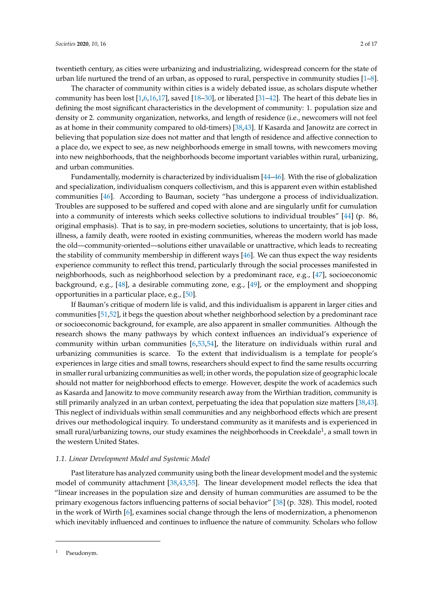twentieth century, as cities were urbanizing and industrializing, widespread concern for the state of urban life nurtured the trend of an urban, as opposed to rural, perspective in community studies [\[1–](#page-14-0)[8\]](#page-14-1).

The character of community within cities is a widely debated issue, as scholars dispute whether community has been lost [\[1,](#page-14-0)[6,](#page-14-5)[16](#page-14-8)[,17\]](#page-14-9), saved [\[18](#page-14-10)[–30\]](#page-15-0), or liberated [\[31](#page-15-1)[–42\]](#page-15-2). The heart of this debate lies in defining the most significant characteristics in the development of community: 1. population size and density or 2. community organization, networks, and length of residence (i.e., newcomers will not feel as at home in their community compared to old-timers) [\[38](#page-15-3)[,43\]](#page-15-4). If Kasarda and Janowitz are correct in believing that population size does not matter and that length of residence and affective connection to a place do, we expect to see, as new neighborhoods emerge in small towns, with newcomers moving into new neighborhoods, that the neighborhoods become important variables within rural, urbanizing, and urban communities.

Fundamentally, modernity is characterized by individualism [\[44](#page-15-5)[–46\]](#page-15-6). With the rise of globalization and specialization, individualism conquers collectivism, and this is apparent even within established communities [\[46\]](#page-15-6). According to Bauman, society "has undergone a process of individualization. Troubles are supposed to be suffered and coped with alone and are singularly unfit for cumulation into a community of interests which seeks collective solutions to individual troubles" [\[44\]](#page-15-5) (p. 86, original emphasis). That is to say, in pre-modern societies, solutions to uncertainty, that is job loss, illness, a family death, were rooted in existing communities, whereas the modern world has made the old—community-oriented—solutions either unavailable or unattractive, which leads to recreating the stability of community membership in different ways [\[46\]](#page-15-6). We can thus expect the way residents experience community to reflect this trend, particularly through the social processes manifested in neighborhoods, such as neighborhood selection by a predominant race, e.g., [\[47\]](#page-15-7), socioeconomic background, e.g., [\[48\]](#page-15-8), a desirable commuting zone, e.g., [\[49\]](#page-15-9), or the employment and shopping opportunities in a particular place, e.g., [\[50\]](#page-15-10).

If Bauman's critique of modern life is valid, and this individualism is apparent in larger cities and communities [\[51,](#page-15-11)[52\]](#page-15-12), it begs the question about whether neighborhood selection by a predominant race or socioeconomic background, for example, are also apparent in smaller communities. Although the research shows the many pathways by which context influences an individual's experience of community within urban communities [\[6](#page-14-5)[,53](#page-15-13)[,54\]](#page-15-14), the literature on individuals within rural and urbanizing communities is scarce. To the extent that individualism is a template for people's experiences in large cities and small towns, researchers should expect to find the same results occurring in smaller rural urbanizing communities as well; in other words, the population size of geographic locale should not matter for neighborhood effects to emerge. However, despite the work of academics such as Kasarda and Janowitz to move community research away from the Wirthian tradition, community is still primarily analyzed in an urban context, perpetuating the idea that population size matters [\[38](#page-15-3)[,43\]](#page-15-4). This neglect of individuals within small communities and any neighborhood effects which are present drives our methodological inquiry. To understand community as it manifests and is experienced in small rural/urbanizing towns, our study examines the neighborhoods in Creekdale $^1$ , a small town in the western United States.

#### *1.1. Linear Development Model and Systemic Model*

Past literature has analyzed community using both the linear development model and the systemic model of community attachment [\[38,](#page-15-3)[43,](#page-15-4)[55\]](#page-15-15). The linear development model reflects the idea that "linear increases in the population size and density of human communities are assumed to be the primary exogenous factors influencing patterns of social behavior" [\[38\]](#page-15-3) (p. 328). This model, rooted in the work of Wirth [\[6\]](#page-14-5), examines social change through the lens of modernization, a phenomenon which inevitably influenced and continues to influence the nature of community. Scholars who follow

Pseudonym.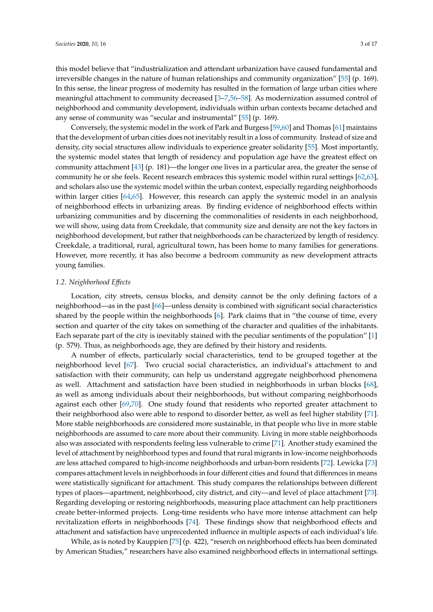this model believe that "industrialization and attendant urbanization have caused fundamental and irreversible changes in the nature of human relationships and community organization" [\[55\]](#page-15-15) (p. 169). In this sense, the linear progress of modernity has resulted in the formation of large urban cities where meaningful attachment to community decreased [\[3–](#page-14-11)[7](#page-14-12)[,56](#page-15-16)[–58\]](#page-15-17). As modernization assumed control of neighborhood and community development, individuals within urban contexts became detached and any sense of community was "secular and instrumental" [\[55\]](#page-15-15) (p. 169).

Conversely, the systemic model in the work of Park and Burgess [\[59](#page-15-18)[,60\]](#page-15-19) and Thomas [\[61\]](#page-15-20) maintains that the development of urban cities does not inevitably result in a loss of community. Instead of size and density, city social structures allow individuals to experience greater solidarity [\[55\]](#page-15-15). Most importantly, the systemic model states that length of residency and population age have the greatest effect on community attachment [\[43\]](#page-15-4) (p. 181)—the longer one lives in a particular area, the greater the sense of community he or she feels. Recent research embraces this systemic model within rural settings [\[62](#page-16-0)[,63\]](#page-16-1), and scholars also use the systemic model within the urban context, especially regarding neighborhoods within larger cities [\[64](#page-16-2)[,65\]](#page-16-3). However, this research can apply the systemic model in an analysis of neighborhood effects in urbanizing areas. By finding evidence of neighborhood effects within urbanizing communities and by discerning the commonalities of residents in each neighborhood, we will show, using data from Creekdale, that community size and density are not the key factors in neighborhood development, but rather that neighborhoods can be characterized by length of residency. Creekdale, a traditional, rural, agricultural town, has been home to many families for generations. However, more recently, it has also become a bedroom community as new development attracts young families.

#### *1.2. Neighborhood E*ff*ects*

Location, city streets, census blocks, and density cannot be the only defining factors of a neighborhood—as in the past [\[66\]](#page-16-4)—unless density is combined with significant social characteristics shared by the people within the neighborhoods [\[6\]](#page-14-5). Park claims that in "the course of time, every section and quarter of the city takes on something of the character and qualities of the inhabitants. Each separate part of the city is inevitably stained with the peculiar sentiments of the population" [\[1\]](#page-14-0) (p. 579). Thus, as neighborhoods age, they are defined by their history and residents.

A number of effects, particularly social characteristics, tend to be grouped together at the neighborhood level [\[67\]](#page-16-5). Two crucial social characteristics, an individual's attachment to and satisfaction with their community, can help us understand aggregate neighborhood phenomena as well. Attachment and satisfaction have been studied in neighborhoods in urban blocks [\[68\]](#page-16-6), as well as among individuals about their neighborhoods, but without comparing neighborhoods against each other [\[69,](#page-16-7)[70\]](#page-16-8). One study found that residents who reported greater attachment to their neighborhood also were able to respond to disorder better, as well as feel higher stability [\[71\]](#page-16-9). More stable neighborhoods are considered more sustainable, in that people who live in more stable neighborhoods are assumed to care more about their community. Living in more stable neighborhoods also was associated with respondents feeling less vulnerable to crime [\[71\]](#page-16-9). Another study examined the level of attachment by neighborhood types and found that rural migrants in low-income neighborhoods are less attached compared to high-income neighborhoods and urban-born residents [\[72\]](#page-16-10). Lewicka [\[73\]](#page-16-11) compares attachment levels in neighborhoods in four different cities and found that differences in means were statistically significant for attachment. This study compares the relationships between different types of places—apartment, neighborhood, city district, and city—and level of place attachment [\[73\]](#page-16-11). Regarding developing or restoring neighborhoods, measuring place attachment can help practitioners create better-informed projects. Long-time residents who have more intense attachment can help revitalization efforts in neighborhoods [\[74\]](#page-16-12). These findings show that neighborhood effects and attachment and satisfaction have unprecedented influence in multiple aspects of each individual's life.

While, as is noted by Kauppien [\[75\]](#page-16-13) (p. 422), "reserch on neighborhood effects has been dominated by American Studies," researchers have also examined neighborhood effects in international settings.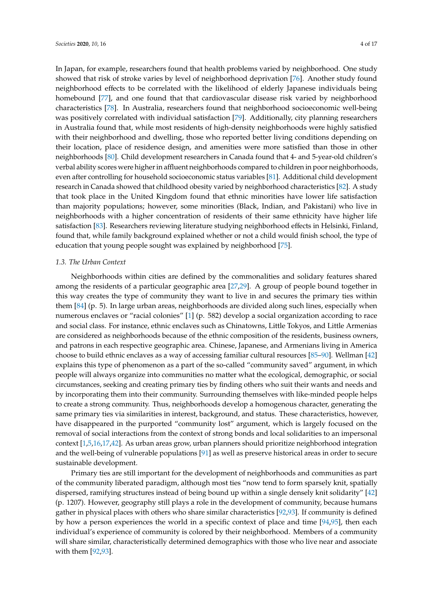In Japan, for example, researchers found that health problems varied by neighborhood. One study showed that risk of stroke varies by level of neighborhood deprivation [\[76\]](#page-16-14). Another study found neighborhood effects to be correlated with the likelihood of elderly Japanese individuals being homebound [\[77\]](#page-16-15), and one found that that cardiovascular disease risk varied by neighborhood characteristics [\[78\]](#page-16-16). In Australia, researchers found that neighborhood socioeconomic well-being was positively correlated with individual satisfaction [\[79\]](#page-16-17). Additionally, city planning researchers in Australia found that, while most residents of high-density neighborhoods were highly satisfied with their neighborhood and dwelling, those who reported better living conditions depending on their location, place of residence design, and amenities were more satisfied than those in other neighborhoods [\[80\]](#page-16-18). Child development researchers in Canada found that 4- and 5-year-old children's verbal ability scores were higher in affluent neighborhoods compared to children in poor neighborhoods, even after controlling for household socioeconomic status variables [\[81\]](#page-16-19). Additional child development research in Canada showed that childhood obesity varied by neighborhood characteristics [\[82\]](#page-16-20). A study that took place in the United Kingdom found that ethnic minorities have lower life satisfaction than majority populations; however, some minorities (Black, Indian, and Pakistani) who live in neighborhoods with a higher concentration of residents of their same ethnicity have higher life satisfaction [\[83\]](#page-16-21). Researchers reviewing literature studying neighborhood effects in Helsinki, Finland, found that, while family background explained whether or not a child would finish school, the type of education that young people sought was explained by neighborhood [\[75\]](#page-16-13).

#### *1.3. The Urban Context*

Neighborhoods within cities are defined by the commonalities and solidary features shared among the residents of a particular geographic area [\[27,](#page-14-13)[29\]](#page-15-21). A group of people bound together in this way creates the type of community they want to live in and secures the primary ties within them [\[84\]](#page-16-22) (p. 5). In large urban areas, neighborhoods are divided along such lines, especially when numerous enclaves or "racial colonies" [\[1\]](#page-14-0) (p. 582) develop a social organization according to race and social class. For instance, ethnic enclaves such as Chinatowns, Little Tokyos, and Little Armenias are considered as neighborhoods because of the ethnic composition of the residents, business owners, and patrons in each respective geographic area. Chinese, Japanese, and Armenians living in America choose to build ethnic enclaves as a way of accessing familiar cultural resources [\[85](#page-16-23)[–90\]](#page-17-0). Wellman [\[42\]](#page-15-2) explains this type of phenomenon as a part of the so-called "community saved" argument, in which people will always organize into communities no matter what the ecological, demographic, or social circumstances, seeking and creating primary ties by finding others who suit their wants and needs and by incorporating them into their community. Surrounding themselves with like-minded people helps to create a strong community. Thus, neighborhoods develop a homogenous character, generating the same primary ties via similarities in interest, background, and status. These characteristics, however, have disappeared in the purported "community lost" argument, which is largely focused on the removal of social interactions from the context of strong bonds and local solidarities to an impersonal context [\[1](#page-14-0)[,5](#page-14-14)[,16](#page-14-8)[,17,](#page-14-9)[42\]](#page-15-2). As urban areas grow, urban planners should prioritize neighborhood integration and the well-being of vulnerable populations [\[91\]](#page-17-1) as well as preserve historical areas in order to secure sustainable development.

Primary ties are still important for the development of neighborhoods and communities as part of the community liberated paradigm, although most ties "now tend to form sparsely knit, spatially dispersed, ramifying structures instead of being bound up within a single densely knit solidarity" [\[42\]](#page-15-2) (p. 1207). However, geography still plays a role in the development of community, because humans gather in physical places with others who share similar characteristics [\[92](#page-17-2)[,93\]](#page-17-3). If community is defined by how a person experiences the world in a specific context of place and time [\[94](#page-17-4)[,95\]](#page-17-5), then each individual's experience of community is colored by their neighborhood. Members of a community will share similar, characteristically determined demographics with those who live near and associate with them [\[92,](#page-17-2)[93\]](#page-17-3).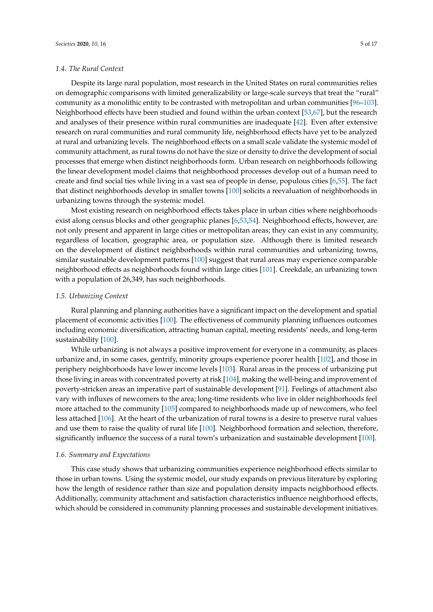#### *1.4. The Rural Context*

Despite its large rural population, most research in the United States on rural communities relies on demographic comparisons with limited generalizability or large-scale surveys that treat the "rural" community as a monolithic entity to be contrasted with metropolitan and urban communities [\[96–](#page-17-6)[103\]](#page-17-7). Neighborhood effects have been studied and found within the urban context [\[53,](#page-15-13)[67\]](#page-16-5), but the research and analyses of their presence within rural communities are inadequate [\[42\]](#page-15-2). Even after extensive research on rural communities and rural community life, neighborhood effects have yet to be analyzed at rural and urbanizing levels. The neighborhood effects on a small scale validate the systemic model of community attachment, as rural towns do not have the size or density to drive the development of social processes that emerge when distinct neighborhoods form. Urban research on neighborhoods following the linear development model claims that neighborhood processes develop out of a human need to create and find social ties while living in a vast sea of people in dense, populous cities [\[6,](#page-14-5)[55\]](#page-15-15). The fact that distinct neighborhoods develop in smaller towns [\[100\]](#page-17-8) solicits a reevaluation of neighborhoods in urbanizing towns through the systemic model.

Most existing research on neighborhood effects takes place in urban cities where neighborhoods exist along census blocks and other geographic planes [\[6,](#page-14-5)[53,](#page-15-13)[54\]](#page-15-14). Neighborhood effects, however, are not only present and apparent in large cities or metropolitan areas; they can exist in any community, regardless of location, geographic area, or population size. Although there is limited research on the development of distinct neighborhoods within rural communities and urbanizing towns, similar sustainable development patterns [\[100\]](#page-17-8) suggest that rural areas may experience comparable neighborhood effects as neighborhoods found within large cities [\[101\]](#page-17-9). Creekdale, an urbanizing town with a population of 26,349, has such neighborhoods.

#### *1.5. Urbanizing Context*

Rural planning and planning authorities have a significant impact on the development and spatial placement of economic activities [\[100\]](#page-17-8). The effectiveness of community planning influences outcomes including economic diversification, attracting human capital, meeting residents' needs, and long-term sustainability [\[100\]](#page-17-8).

While urbanizing is not always a positive improvement for everyone in a community, as places urbanize and, in some cases, gentrify, minority groups experience poorer health [\[102\]](#page-17-10), and those in periphery neighborhoods have lower income levels [\[103\]](#page-17-7). Rural areas in the process of urbanizing put those living in areas with concentrated poverty at risk [\[104\]](#page-17-11), making the well-being and improvement of poverty-stricken areas an imperative part of sustainable development [\[91\]](#page-17-1). Feelings of attachment also vary with influxes of newcomers to the area; long-time residents who live in older neighborhoods feel more attached to the community [\[105\]](#page-17-12) compared to neighborhoods made up of newcomers, who feel less attached [\[106\]](#page-17-13). At the heart of the urbanization of rural towns is a desire to preserve rural values and use them to raise the quality of rural life [\[100\]](#page-17-8). Neighborhood formation and selection, therefore, significantly influence the success of a rural town's urbanization and sustainable development [\[100\]](#page-17-8).

#### *1.6. Summary and Expectations*

This case study shows that urbanizing communities experience neighborhood effects similar to those in urban towns. Using the systemic model, our study expands on previous literature by exploring how the length of residence rather than size and population density impacts neighborhood effects. Additionally, community attachment and satisfaction characteristics influence neighborhood effects, which should be considered in community planning processes and sustainable development initiatives.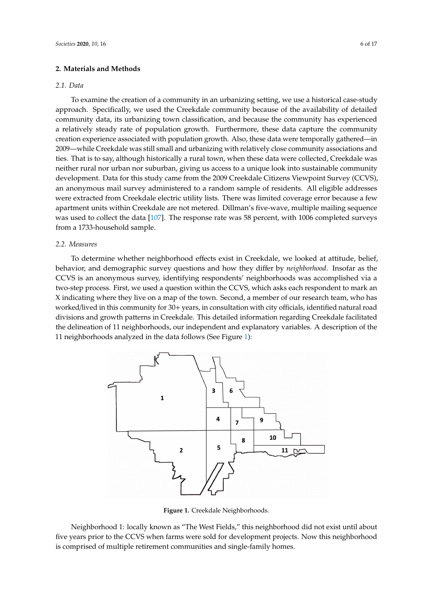#### **2. Materials and Methods**

#### *2.1. Data*

To examine the creation of a community in an urbanizing setting, we use a historical case-study approach. Specifically, we used the Creekdale community because of the availability of detailed community data, its urbanizing town classification, and because the community has experienced a relatively steady rate of population growth. Furthermore, these data capture the community creation experience associated with population growth. Also, these data were temporally gathered—in 2009—while Creekdale was still small and urbanizing with relatively close community associations and ties. That is to say, although historically a rural town, when these data were collected, Creekdale was neither rural nor urban nor suburban, giving us access to a unique look into sustainable community development. Data for this study came from the 2009 Creekdale Citizens Viewpoint Survey (CCVS), *Societies* **2020**, *10*, x FOR PEER REVIEW 6 of 16 an anonymous mail survey administered to a random sample of residents. All eligible addresses were extracted from Creekdale electric utility lists. There was limited coverage error because a few apartment units within Creekdale are not metered. Dillman's five-wave, multiple mailing sequence was used to collect the data [\[107\]](#page-17-14). The response rate was 58 percent, with 1006 completed surveys from a 1733-household sample. **All eligible administered to a random sample of residents.** All eligible addresses the is to see that is the same that we have the collected, Creekdale was the collected, Creekdale was the collected, Creekdale was the collected, Creekdale was the collected, Creekdale was the collected, Creekdale was the extracted from Creekdale electric utility lists. There was limited coverage error because a few  $\epsilon$ 

#### *2.2. Measures* apartment units with  $\alpha$  are not meter with  $\alpha$  multiple mailing sequence wave, multiple mailing sequence mailing sequence  $\alpha$ was used to collect the data  $[1077.1]$  the data  $[107.1]$  the response rate was  $58.1$

To determine whether neighborhood effects exist in Creekdale, we looked at attitude, belief, behavior, and demographic survey questions and how they differ by *neighborhood*. Insofar as the *2.2. Measures*  CCVS is an anonymous survey, identifying respondents' neighborhoods was accomplished via a<br> two-step process. First*,* we used a question within the CCVS*,* which asks each respondent to mark an X indicating where they live on a map of the town. Second, a member of our research team, who has worked/lived in this community for 30+ years, in consultation with city officials, identified natural road divisions and growth patterns in Creekdale. This detailed information regarding Creekdale facilitated the delineation of 11 neighborhoods, our independent and explanatory variables. A description of the 11 neighborhoods analyzed in the data follows (See Figure [1\)](#page-7-0): who grown particular in the securities and settled internation regarding the station

<span id="page-7-0"></span>

**Figure 1.** Creekdale Neighborhoods. **Figure 1.** Creekdale Neighborhoods.

Neighborhood 1: locally known as "The West Fields," this neighborhood did not exist until Neighborhood 1: locally known as "The West Fields," this neighborhood did not exist until about  $\,$ five years prior to the CCVS when farms were sold for development projects. Now this neighborhood is comprised of multiple retirement communities and single-family homes.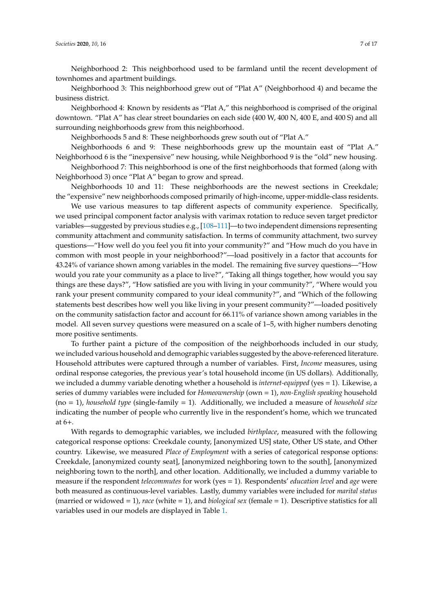Neighborhood 2: This neighborhood used to be farmland until the recent development of townhomes and apartment buildings.

Neighborhood 3: This neighborhood grew out of "Plat A" (Neighborhood 4) and became the business district.

Neighborhood 4: Known by residents as "Plat A," this neighborhood is comprised of the original downtown. "Plat A" has clear street boundaries on each side (400 W, 400 N, 400 E, and 400 S) and all surrounding neighborhoods grew from this neighborhood.

Neighborhoods 5 and 8: These neighborhoods grew south out of "Plat A."

Neighborhoods 6 and 9: These neighborhoods grew up the mountain east of "Plat A."

Neighborhood 6 is the "inexpensive" new housing, while Neighborhood 9 is the "old" new housing. Neighborhood 7: This neighborhood is one of the first neighborhoods that formed (along with

Neighborhood 3) once "Plat A" began to grow and spread.

Neighborhoods 10 and 11: These neighborhoods are the newest sections in Creekdale; the "expensive" new neighborhoods composed primarily of high-income, upper-middle-class residents.

We use various measures to tap different aspects of community experience. Specifically, we used principal component factor analysis with varimax rotation to reduce seven target predictor variables—suggested by previous studies e.g., [\[108–](#page-17-15)[111\]](#page-17-16)—to two independent dimensions representing community attachment and community satisfaction. In terms of community attachment, two survey questions—"How well do you feel you fit into your community?" and "How much do you have in common with most people in your neighborhood?"—load positively in a factor that accounts for 43.24% of variance shown among variables in the model. The remaining five survey questions—"How would you rate your community as a place to live?", "Taking all things together, how would you say things are these days?", "How satisfied are you with living in your community?", "Where would you rank your present community compared to your ideal community?", and "Which of the following statements best describes how well you like living in your present community?"—loaded positively on the community satisfaction factor and account for 66.11% of variance shown among variables in the model. All seven survey questions were measured on a scale of 1–5, with higher numbers denoting more positive sentiments.

To further paint a picture of the composition of the neighborhoods included in our study, we included various household and demographic variables suggested by the above-referenced literature. Household attributes were captured through a number of variables. First, *Income* measures, using ordinal response categories, the previous year's total household income (in US dollars). Additionally, we included a dummy variable denoting whether a household is *internet-equipped* (yes = 1). Likewise, a series of dummy variables were included for *Homeownership* (own = 1), *non-English speaking* household (no = 1), *household type* (single-family = 1). Additionally, we included a measure of *household size* indicating the number of people who currently live in the respondent's home, which we truncated at 6+.

With regards to demographic variables, we included *birthplace*, measured with the following categorical response options: Creekdale county, [anonymized US] state, Other US state, and Other country. Likewise, we measured *Place of Employment* with a series of categorical response options: Creekdale, [anonymized county seat], [anonymized neighboring town to the south], [anonymized neighboring town to the north], and other location. Additionally, we included a dummy variable to measure if the respondent *telecommutes* for work (yes = 1). Respondents' *education level* and *age* were both measured as continuous-level variables. Lastly, dummy variables were included for *marital status* (married or widowed = 1), *race* (white = 1), and *biological sex* (female = 1). Descriptive statistics for all variables used in our models are displayed in Table [1.](#page-9-0)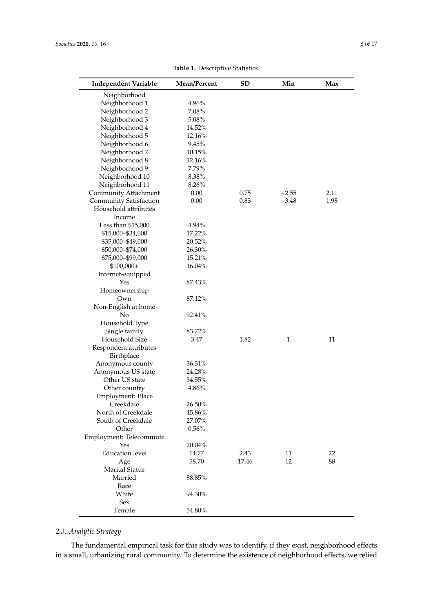<span id="page-9-0"></span>

| <b>Independent Variable</b> | Mean/Percent | <b>SD</b> | Min     | Max  |
|-----------------------------|--------------|-----------|---------|------|
| Neighborhood                |              |           |         |      |
| Neighborhood 1              | 4.96%        |           |         |      |
| Neighborhood 2              | 7.08%        |           |         |      |
| Neighborhood 3              | 5.08%        |           |         |      |
| Neighborhood 4              | 14.52%       |           |         |      |
| Neighborhood 5              | 12.16%       |           |         |      |
| Neighborhood 6              | 9.45%        |           |         |      |
| Neighborhood 7              | $10.15\%$    |           |         |      |
| Neighborhood 8              | 12.16%       |           |         |      |
| Neighborhood 9              | 7.79%        |           |         |      |
| Neighborhood 10             | 8.38%        |           |         |      |
| Neighborhood 11             | 8.26%        |           |         |      |
| Community Attachment        | 0.00         | 0.75      | $-2.55$ | 2.11 |
| Community Satisfaction      | 0.00         | 0.83      | $-3.48$ | 1.98 |
| Household attributes        |              |           |         |      |
| Income                      |              |           |         |      |
| Less than \$15,000          | 4.94%        |           |         |      |
| \$15,000-\$34,000           | 17.22%       |           |         |      |
| \$35,000-\$49,000           | 20.52%       |           |         |      |
| \$50,000-\$74,000           | 26.30%       |           |         |      |
| \$75,000-\$99,000           | 15.21%       |           |         |      |
| $$100,000+$                 | 16.04%       |           |         |      |
| Internet-equipped           |              |           |         |      |
| Yes                         | 87.43%       |           |         |      |
| Homeownership               |              |           |         |      |
| Own                         | 87.12%       |           |         |      |
| Non-English at home         |              |           |         |      |
| No                          | 92.41%       |           |         |      |
| Household Type              |              |           |         |      |
| Single family               | 83.72%       |           |         |      |
| Household Size              | 3.47         | 1.82      | 1       | 11   |
| Respondent attributes       |              |           |         |      |
| Birthplace                  |              |           |         |      |
| Anonymous county            | 36.31%       |           |         |      |
| Anonymous US state          | 24.28%       |           |         |      |
| Other US state              | 34.55%       |           |         |      |
| Other country               | 4.86%        |           |         |      |
| Employment: Place           |              |           |         |      |
| Creekdale                   | 26.50%       |           |         |      |
| North of Creekdale          | 45.86%       |           |         |      |
| South of Creekdale          | 27.07%       |           |         |      |
| Other                       | 0.56%        |           |         |      |
| Employment: Telecommute     |              |           |         |      |
| Yes                         | 20.04%       |           |         |      |
| <b>Education</b> level      | 14.77        | 2.43      | 11      | 22   |
| Age                         | 58.70        | 17.46     | 12      | 88   |
| Marital Status              |              |           |         |      |
| Married                     | 88.85%       |           |         |      |
| Race                        |              |           |         |      |
| White                       | 94.30%       |           |         |      |
| Sex                         |              |           |         |      |
| Female                      | 54.80%       |           |         |      |

**Table 1.** Descriptive Statistics.

## *2.3. Analytic Strategy*

The fundamental empirical task for this study was to identify, if they exist, neighborhood effects in a small, urbanizing rural community. To determine the existence of neighborhood effects, we relied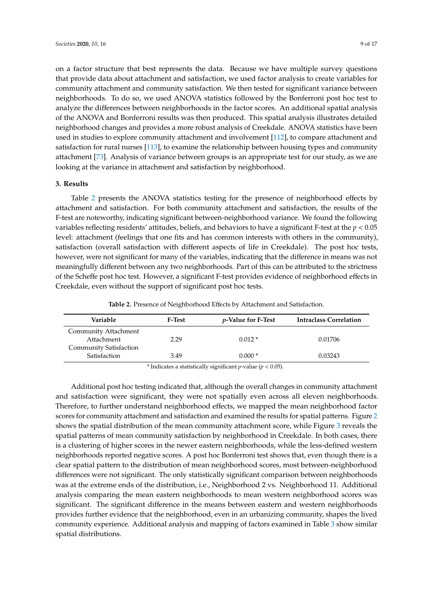on a factor structure that best represents the data. Because we have multiple survey questions that provide data about attachment and satisfaction, we used factor analysis to create variables for community attachment and community satisfaction. We then tested for significant variance between neighborhoods. To do so, we used ANOVA statistics followed by the Bonferroni post hoc test to analyze the differences between neighborhoods in the factor scores. An additional spatial analysis of the ANOVA and Bonferroni results was then produced. This spatial analysis illustrates detailed neighborhood changes and provides a more robust analysis of Creekdale. ANOVA statistics have been used in studies to explore community attachment and involvement [\[112\]](#page-18-0), to compare attachment and satisfaction for rural nurses [\[113\]](#page-18-1), to examine the relationship between housing types and community attachment [\[73\]](#page-16-11). Analysis of variance between groups is an appropriate test for our study, as we are looking at the variance in attachment and satisfaction by neighborhood.

#### **3. Results**

Table [2](#page-10-0) presents the ANOVA statistics testing for the presence of neighborhood effects by attachment and satisfaction. For both community attachment and satisfaction, the results of the F-test are noteworthy, indicating significant between-neighborhood variance. We found the following variables reflecting residents' attitudes, beliefs, and behaviors to have a significant F-test at the *p* < 0.05 level: attachment (feelings that one fits and has common interests with others in the community), satisfaction (overall satisfaction with different aspects of life in Creekdale). The post hoc tests, however, were not significant for many of the variables, indicating that the difference in means was not meaningfully different between any two neighborhoods. Part of this can be attributed to the strictness of the Scheffe post hoc test. However, a significant F-test provides evidence of neighborhood effects in Creekdale, even without the support of significant post hoc tests.

**Table 2.** Presence of Neighborhood Effects by Attachment and Satisfaction.

<span id="page-10-0"></span>

| Variable                      | <b>F-Test</b> | <i>p</i> -Value for F-Test | <b>Intraclass Correlation</b> |
|-------------------------------|---------------|----------------------------|-------------------------------|
| Community Attachment          |               |                            |                               |
| Attachment                    | 2.29          | $0.012*$                   | 0.01706                       |
| <b>Community Satisfaction</b> |               |                            |                               |
| Satisfaction                  | 3.49          | $0.000*$                   | 0.03243                       |
|                               |               |                            |                               |

\* Indicates a statistically significant *p*-value (*p* < 0.05).

Additional post hoc testing indicated that, although the overall changes in community attachment and satisfaction were significant, they were not spatially even across all eleven neighborhoods. Therefore, to further understand neighborhood effects, we mapped the mean neighborhood factor scores for community attachment and satisfaction and examined the results for spatial patterns. Figure [2](#page-11-0) shows the spatial distribution of the mean community attachment score, while Figure [3](#page-11-1) reveals the spatial patterns of mean community satisfaction by neighborhood in Creekdale. In both cases, there is a clustering of higher scores in the newer eastern neighborhoods, while the less-defined western neighborhoods reported negative scores. A post hoc Bonferroni test shows that, even though there is a clear spatial pattern to the distribution of mean neighborhood scores, most between-neighborhood differences were not significant. The only statistically significant comparison between neighborhoods was at the extreme ends of the distribution, i.e., Neighborhood 2 vs. Neighborhood 11. Additional analysis comparing the mean eastern neighborhoods to mean western neighborhood scores was significant. The significant difference in the means between eastern and western neighborhoods provides further evidence that the neighborhood, even in an urbanizing community, shapes the lived community experience. Additional analysis and mapping of factors examined in Table [3](#page-12-0) show similar spatial distributions.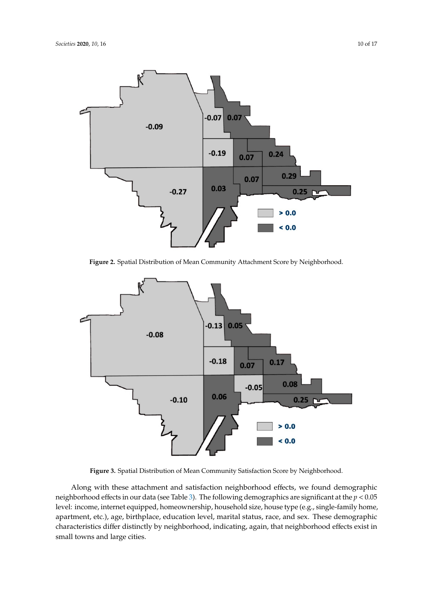<span id="page-11-0"></span>

Figure 2. Spatial Distribution of Mean Community Attachment Score by Neighborhood.

<span id="page-11-1"></span>

Figure 3. Spatial Distribution of Mean Community Satisfaction Score by Neighborhood.

 $\Phi$  aborthood effects in our data (see Table 3). The following demographics are significant at the  $n < 0.05$  $\alpha$  in  $\alpha$  in terms internet equipped, homeownership, household size, house type (e.g., single-family home  $\frac{1}{2}$  anartment etc.) are hirthplace education level marital status, race, and sex. These demographic,  $\epsilon$  haracteristics differ distinctly by neighborhood, indicating, again, that neighborhood effects exist in  $\mathcal{L}_{\text{total}}$  demographic characteristics different different different different neighborhood, indicating, and  $\mathcal{L}_{\text{total}}$  $\epsilon$  in small towns and large cities. Along with these attachment and satisfaction neighborhood effects, we found demographic Along with these attachment and satisfaction neighborhood effects, we found demographic neighborhood effects in our data (see Table 3). The following demographics are significant at the *p* < neighborhood effects in our data (see Table [3\)](#page-12-0). The following demographics are significant at the *p* < 0.05 level: income, internet equipped, homeownership, household size, house type (e.g., single-family home, apartment, etc.), age, birthplace, education level, marital status, race, and sex. These demographic characteristics differ distinctly by neighborhood, indicating, again, that neighborhood effects exist in small towns and large cities.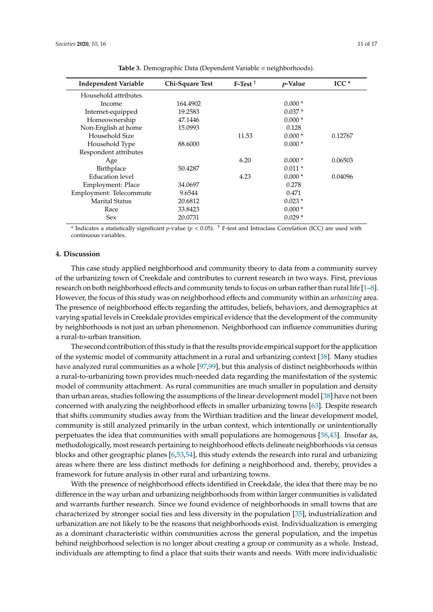<span id="page-12-0"></span>

| <b>Independent Variable</b> | Chi-Square Test | $F-Test$ <sup>+</sup> | <i>p</i> -Value | $ICC*$  |
|-----------------------------|-----------------|-----------------------|-----------------|---------|
| Household attributes        |                 |                       |                 |         |
| Income                      | 164.4902        |                       | $0.000*$        |         |
| Internet-equipped           | 19.2583         |                       | $0.037*$        |         |
| Homeownership               | 47.1446         |                       | $0.000*$        |         |
| Non-English at home         | 15.0993         |                       | 0.128           |         |
| Household Size              |                 | 11.53                 | $0.000*$        | 0.12767 |
| Household Type              | 88.6000         |                       | $0.000*$        |         |
| Respondent attributes       |                 |                       |                 |         |
| Age                         |                 | 6.20                  | $0.000*$        | 0.06503 |
| Birthplace                  | 50.4287         |                       | $0.011*$        |         |
| Education level             |                 | 4.23                  | $0.000*$        | 0.04096 |
| Employment: Place           | 34.0697         |                       | 0.278           |         |
| Employment: Telecommute     | 9.6544          |                       | 0.471           |         |
| Marital Status              | 20.6812         |                       | $0.023*$        |         |
| Race                        | 33.8423         |                       | $0.000*$        |         |
| <b>Sex</b>                  | 20.0731         |                       | $0.029*$        |         |

**Table 3.** Demographic Data (Dependent Variable = neighborhoods).

\* Indicates a statistically significant *p*-value (*p* < 0.05). † F-test and Intraclass Correlation (ICC) are used with continuous variables.

#### **4. Discussion**

This case study applied neighborhood and community theory to data from a community survey of the urbanizing town of Creekdale and contributes to current research in two ways. First, previous research on both neighborhood effects and community tends to focus on urban rather than rural life [\[1–](#page-14-0)[8\]](#page-14-1). However, the focus of this study was on neighborhood effects and community within an *urbanizing* area. The presence of neighborhood effects regarding the attitudes, beliefs, behaviors, and demographics at varying spatial levels in Creekdale provides empirical evidence that the development of the community by neighborhoods is not just an urban phenomenon. Neighborhood can influence communities during a rural-to-urban transition.

The second contribution of this study is that the results provide empirical support for the application of the systemic model of community attachment in a rural and urbanizing context [\[38\]](#page-15-3). Many studies have analyzed rural communities as a whole [\[97](#page-17-17)[,99\]](#page-17-18), but this analysis of distinct neighborhoods within a rural-to-urbanizing town provides much-needed data regarding the manifestation of the systemic model of community attachment. As rural communities are much smaller in population and density than urban areas, studies following the assumptions of the linear development model [\[38\]](#page-15-3) have not been concerned with analyzing the neighborhood effects in smaller urbanizing towns [\[63\]](#page-16-1). Despite research that shifts community studies away from the Wirthian tradition and the linear development model, community is still analyzed primarily in the urban context, which intentionally or unintentionally perpetuates the idea that communities with small populations are homogenous [\[38](#page-15-3)[,43\]](#page-15-4). Insofar as, methodologically, most research pertaining to neighborhood effects delineate neighborhoods via census blocks and other geographic planes [\[6](#page-14-5)[,53](#page-15-13)[,54\]](#page-15-14), this study extends the research into rural and urbanizing areas where there are less distinct methods for defining a neighborhood and, thereby, provides a framework for future analysis in other rural and urbanizing towns.

With the presence of neighborhood effects identified in Creekdale, the idea that there may be no difference in the way urban and urbanizing neighborhoods from within larger communities is validated and warrants further research. Since we found evidence of neighborhoods in small towns that are characterized by stronger social ties and less diversity in the population [\[35\]](#page-15-22), industrialization and urbanization are not likely to be the reasons that neighborhoods exist. Individualization is emerging as a dominant characteristic within communities across the general population, and the impetus behind neighborhood selection is no longer about creating a group or community as a whole. Instead, individuals are attempting to find a place that suits their wants and needs. With more individualistic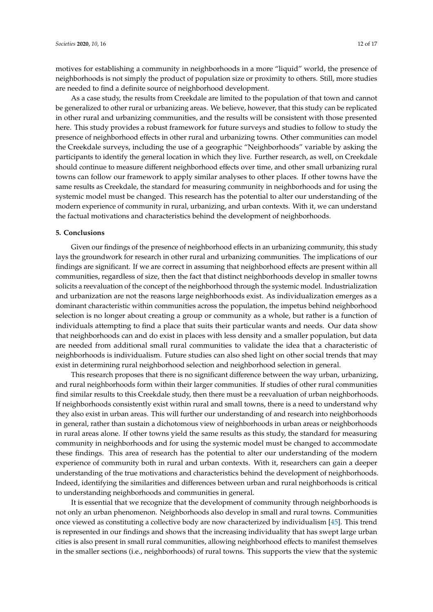motives for establishing a community in neighborhoods in a more "liquid" world, the presence of neighborhoods is not simply the product of population size or proximity to others. Still, more studies are needed to find a definite source of neighborhood development.

As a case study, the results from Creekdale are limited to the population of that town and cannot be generalized to other rural or urbanizing areas. We believe, however, that this study can be replicated in other rural and urbanizing communities, and the results will be consistent with those presented here. This study provides a robust framework for future surveys and studies to follow to study the presence of neighborhood effects in other rural and urbanizing towns. Other communities can model the Creekdale surveys, including the use of a geographic "Neighborhoods" variable by asking the participants to identify the general location in which they live. Further research, as well, on Creekdale should continue to measure different neighborhood effects over time, and other small urbanizing rural towns can follow our framework to apply similar analyses to other places. If other towns have the same results as Creekdale, the standard for measuring community in neighborhoods and for using the systemic model must be changed. This research has the potential to alter our understanding of the modern experience of community in rural, urbanizing, and urban contexts. With it, we can understand the factual motivations and characteristics behind the development of neighborhoods.

#### **5. Conclusions**

Given our findings of the presence of neighborhood effects in an urbanizing community, this study lays the groundwork for research in other rural and urbanizing communities. The implications of our findings are significant. If we are correct in assuming that neighborhood effects are present within all communities, regardless of size, then the fact that distinct neighborhoods develop in smaller towns solicits a reevaluation of the concept of the neighborhood through the systemic model. Industrialization and urbanization are not the reasons large neighborhoods exist. As individualization emerges as a dominant characteristic within communities across the population, the impetus behind neighborhood selection is no longer about creating a group or community as a whole, but rather is a function of individuals attempting to find a place that suits their particular wants and needs. Our data show that neighborhoods can and do exist in places with less density and a smaller population, but data are needed from additional small rural communities to validate the idea that a characteristic of neighborhoods is individualism. Future studies can also shed light on other social trends that may exist in determining rural neighborhood selection and neighborhood selection in general.

This research proposes that there is no significant difference between the way urban, urbanizing, and rural neighborhoods form within their larger communities. If studies of other rural communities find similar results to this Creekdale study, then there must be a reevaluation of urban neighborhoods. If neighborhoods consistently exist within rural and small towns, there is a need to understand why they also exist in urban areas. This will further our understanding of and research into neighborhoods in general, rather than sustain a dichotomous view of neighborhoods in urban areas or neighborhoods in rural areas alone. If other towns yield the same results as this study, the standard for measuring community in neighborhoods and for using the systemic model must be changed to accommodate these findings. This area of research has the potential to alter our understanding of the modern experience of community both in rural and urban contexts. With it, researchers can gain a deeper understanding of the true motivations and characteristics behind the development of neighborhoods. Indeed, identifying the similarities and differences between urban and rural neighborhoods is critical to understanding neighborhoods and communities in general.

It is essential that we recognize that the development of community through neighborhoods is not only an urban phenomenon. Neighborhoods also develop in small and rural towns. Communities once viewed as constituting a collective body are now characterized by individualism [\[45\]](#page-15-23). This trend is represented in our findings and shows that the increasing individuality that has swept large urban cities is also present in small rural communities, allowing neighborhood effects to manifest themselves in the smaller sections (i.e., neighborhoods) of rural towns. This supports the view that the systemic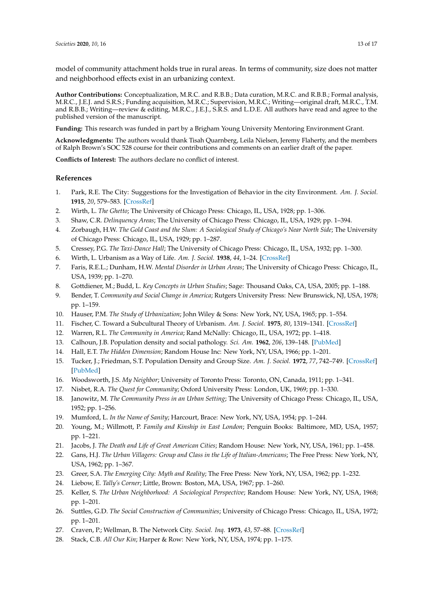model of community attachment holds true in rural areas. In terms of community, size does not matter and neighborhood effects exist in an urbanizing context.

**Author Contributions:** Conceptualization, M.R.C. and R.B.B.; Data curation, M.R.C. and R.B.B.; Formal analysis, M.R.C., J.E.J. and S.R.S.; Funding acquisition, M.R.C.; Supervision, M.R.C.; Writing—original draft, M.R.C., T.M. and R.B.B.; Writing—review & editing, M.R.C., J.E.J., S.R.S. and L.D.E. All authors have read and agree to the published version of the manuscript.

**Funding:** This research was funded in part by a Brigham Young University Mentoring Environment Grant.

**Acknowledgments:** The authors would thank Tisah Quarnberg, Leila Nielsen, Jeremy Flaherty, and the members of Ralph Brown's SOC 528 course for their contributions and comments on an earlier draft of the paper.

**Conflicts of Interest:** The authors declare no conflict of interest.

#### **References**

- <span id="page-14-0"></span>1. Park, R.E. The City: Suggestions for the Investigation of Behavior in the city Environment. *Am. J. Sociol.* **1915**, *20*, 579–583. [\[CrossRef\]](http://dx.doi.org/10.1086/212433)
- 2. Wirth, L. *The Ghetto*; The University of Chicago Press: Chicago, IL, USA, 1928; pp. 1–306.
- <span id="page-14-11"></span>3. Shaw, C.R. *Delinquency Areas*; The University of Chicago Press: Chicago, IL, USA, 1929; pp. 1–394.
- 4. Zorbaugh, H.W. *The Gold Coast and the Slum: A Sociological Study of Chicago's Near North Side*; The University of Chicago Press: Chicago, IL, USA, 1929; pp. 1–287.
- <span id="page-14-14"></span>5. Cressey, P.G. *The Taxi-Dance Hall*; The University of Chicago Press: Chicago, IL, USA, 1932; pp. 1–300.
- <span id="page-14-5"></span>6. Wirth, L. Urbanism as a Way of Life. *Am. J. Sociol.* **1938**, *44*, 1–24. [\[CrossRef\]](http://dx.doi.org/10.1086/217913)
- <span id="page-14-12"></span>7. Faris, R.E.L.; Dunham, H.W. *Mental Disorder in Urban Areas*; The University of Chicago Press: Chicago, IL, USA, 1939; pp. 1–270.
- <span id="page-14-1"></span>8. Gottdiener, M.; Budd, L. *Key Concepts in Urban Studies*; Sage: Thousand Oaks, CA, USA, 2005; pp. 1–188.
- <span id="page-14-2"></span>9. Bender, T. *Community and Social Change in America*; Rutgers University Press: New Brunswick, NJ, USA, 1978; pp. 1–159.
- <span id="page-14-3"></span>10. Hauser, P.M. *The Study of Urbanization*; John Wiley & Sons: New York, NY, USA, 1965; pp. 1–554.
- 11. Fischer, C. Toward a Subcultural Theory of Urbanism. *Am. J. Sociol.* **1975**, *80*, 1319–1341. [\[CrossRef\]](http://dx.doi.org/10.1086/225993)
- <span id="page-14-4"></span>12. Warren, R.L. *The Community in America*; Rand McNally: Chicago, IL, USA, 1972; pp. 1–418.
- <span id="page-14-6"></span>13. Calhoun, J.B. Population density and social pathology. *Sci. Am.* **1962**, *206*, 139–148. [\[PubMed\]](http://www.ncbi.nlm.nih.gov/pubmed/13875732)
- 14. Hall, E.T. *The Hidden Dimension*; Random House Inc: New York, NY, USA, 1966; pp. 1–201.
- <span id="page-14-7"></span>15. Tucker, J.; Friedman, S.T. Population Density and Group Size. *Am. J. Sociol.* **1972**, *77*, 742–749. [\[CrossRef\]](http://dx.doi.org/10.1086/225199) [\[PubMed\]](http://www.ncbi.nlm.nih.gov/pubmed/5066663)
- <span id="page-14-8"></span>16. Woodsworth, J.S. *My Neighbor*; University of Toronto Press: Toronto, ON, Canada, 1911; pp. 1–341.
- <span id="page-14-9"></span>17. Nisbet, R.A. *The Quest for Community*; Oxford University Press: London, UK, 1969; pp. 1–330.
- <span id="page-14-10"></span>18. Janowitz, M. *The Community Press in an Urban Setting*; The University of Chicago Press: Chicago, IL, USA, 1952; pp. 1–256.
- 19. Mumford, L. *In the Name of Sanity*; Harcourt, Brace: New York, NY, USA, 1954; pp. 1–244.
- 20. Young, M.; Willmott, P. *Family and Kinship in East London*; Penguin Books: Baltimore, MD, USA, 1957; pp. 1–221.
- 21. Jacobs, J. *The Death and Life of Great American Cities*; Random House: New York, NY, USA, 1961; pp. 1–458.
- 22. Gans, H.J. *The Urban Villagers: Group and Class in the Life of Italian-Americans*; The Free Press: New York, NY, USA, 1962; pp. 1–367.
- 23. Greer, S.A. *The Emerging City: Myth and Reality*; The Free Press: New York, NY, USA, 1962; pp. 1–232.
- 24. Liebow, E. *Tally's Corner*; Little, Brown: Boston, MA, USA, 1967; pp. 1–260.
- 25. Keller, S. *The Urban Neighborhood: A Sociological Perspective*; Random House: New York, NY, USA, 1968; pp. 1–201.
- 26. Suttles, G.D. *The Social Construction of Communities*; University of Chicago Press: Chicago, IL, USA, 1972; pp. 1–201.
- <span id="page-14-13"></span>27. Craven, P.; Wellman, B. The Network City. *Sociol. Inq.* **1973**, *43*, 57–88. [\[CrossRef\]](http://dx.doi.org/10.1111/j.1475-682X.1973.tb00003.x)
- 28. Stack, C.B. *All Our Kin*; Harper & Row: New York, NY, USA, 1974; pp. 1–175.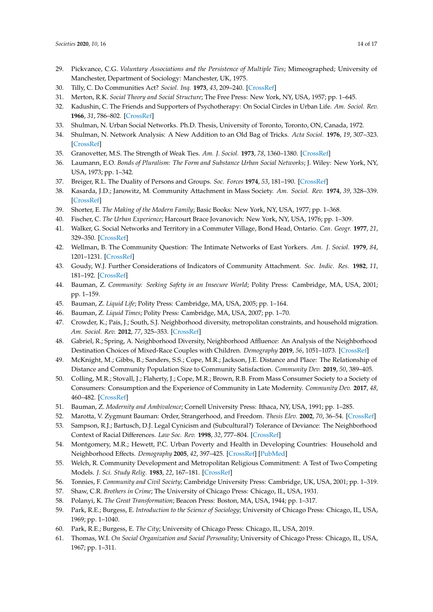- <span id="page-15-21"></span>29. Pickvance, C.G. *Voluntary Associations and the Persistence of Multiple Ties*; Mimeographed; University of Manchester, Department of Sociology: Manchester, UK, 1975.
- <span id="page-15-0"></span>30. Tilly, C. Do Communities Act? *Sociol. Inq.* **1973**, *43*, 209–240. [\[CrossRef\]](http://dx.doi.org/10.1111/j.1475-682X.1973.tb00008.x)
- <span id="page-15-1"></span>31. Merton, R.K. *Social Theory and Social Structure*; The Free Press: New York, NY, USA, 1957; pp. 1–645.
- 32. Kadushin, C. The Friends and Supporters of Psychotherapy: On Social Circles in Urban Life. *Am. Sociol. Rev.* **1966**, *31*, 786–802. [\[CrossRef\]](http://dx.doi.org/10.2307/2091658)
- 33. Shulman, N. Urban Social Networks. Ph.D. Thesis, University of Toronto, Toronto, ON, Canada, 1972.
- 34. Shulman, N. Network Analysis: A New Addition to an Old Bag of Tricks. *Acta Sociol.* **1976**, *19*, 307–323. [\[CrossRef\]](http://dx.doi.org/10.1177/000169937601900402)
- <span id="page-15-22"></span>35. Granovetter, M.S. The Strength of Weak Ties. *Am. J. Sociol.* **1973**, *78*, 1360–1380. [\[CrossRef\]](http://dx.doi.org/10.1086/225469)
- 36. Laumann, E.O. *Bonds of Pluralism: The Form and Substance Urban Social Networks*; J. Wiley: New York, NY, USA, 1973; pp. 1–342.
- 37. Breiger, R.L. The Duality of Persons and Groups. *Soc. Forces* **1974**, *53*, 181–190. [\[CrossRef\]](http://dx.doi.org/10.2307/2576011)
- <span id="page-15-3"></span>38. Kasarda, J.D.; Janowitz, M. Community Attachment in Mass Society. *Am. Sociol. Rev.* **1974**, *39*, 328–339. [\[CrossRef\]](http://dx.doi.org/10.2307/2094293)
- 39. Shorter, E. *The Making of the Modern Family*; Basic Books: New York, NY, USA, 1977; pp. 1–368.
- 40. Fischer, C. *The Urban Experience*; Harcourt Brace Jovanovich: New York, NY, USA, 1976; pp. 1–309.
- 41. Walker, G. Social Networks and Territory in a Commuter Village, Bond Head, Ontario. *Can. Geogr.* **1977**, *21*, 329–350. [\[CrossRef\]](http://dx.doi.org/10.1111/j.1541-0064.1977.tb01005.x)
- <span id="page-15-2"></span>42. Wellman, B. The Community Question: The Intimate Networks of East Yorkers. *Am. J. Sociol.* **1979**, *84*, 1201–1231. [\[CrossRef\]](http://dx.doi.org/10.1086/226906)
- <span id="page-15-4"></span>43. Goudy, W.J. Further Considerations of Indicators of Community Attachment. *Soc. Indic. Res.* **1982**, *11*, 181–192. [\[CrossRef\]](http://dx.doi.org/10.1007/BF00302748)
- <span id="page-15-5"></span>44. Bauman, Z. *Community: Seeking Safety in an Insecure World*; Polity Press: Cambridge, MA, USA, 2001; pp. 1–159.
- <span id="page-15-23"></span>45. Bauman, Z. *Liquid Life*; Polity Press: Cambridge, MA, USA, 2005; pp. 1–164.
- <span id="page-15-6"></span>46. Bauman, Z. *Liquid Times*; Polity Press: Cambridge, MA, USA, 2007; pp. 1–70.
- <span id="page-15-7"></span>47. Crowder, K.; Pais, J.; South, S.J. Neighborhood diversity, metropolitan constraints, and household migration. *Am. Sociol. Rev.* **2012**, *77*, 325–353. [\[CrossRef\]](http://dx.doi.org/10.1177/0003122412441791)
- <span id="page-15-8"></span>48. Gabriel, R.; Spring, A. Neighborhood Diversity, Neighborhood Affluence: An Analysis of the Neighborhood Destination Choices of Mixed-Race Couples with Children. *Demography* **2019**, *56*, 1051–1073. [\[CrossRef\]](http://dx.doi.org/10.1007/s13524-019-00779-1)
- <span id="page-15-9"></span>49. McKnight, M.; Gibbs, B.; Sanders, S.S.; Cope, M.R.; Jackson, J.E. Distance and Place: The Relationship of Distance and Community Population Size to Community Satisfaction. *Community Dev.* **2019**, *50*, 389–405.
- <span id="page-15-10"></span>50. Colling, M.R.; Stovall, J.; Flaherty, J.; Cope, M.R.; Brown, R.B. From Mass Consumer Society to a Society of Consumers: Consumption and the Experience of Community in Late Modernity. *Community Dev.* **2017**, *48*, 460–482. [\[CrossRef\]](http://dx.doi.org/10.1080/15575330.2017.1321558)
- <span id="page-15-11"></span>51. Bauman, Z. *Modernity and Ambivalence*; Cornell University Press: Ithaca, NY, USA, 1991; pp. 1–285.
- <span id="page-15-12"></span>52. Marotta, V. Zygmunt Bauman: Order, Strangerhood, and Freedom. *Thesis Elev.* **2002**, *70*, 36–54. [\[CrossRef\]](http://dx.doi.org/10.1177/0725513602070001005)
- <span id="page-15-13"></span>53. Sampson, R.J.; Bartusch, D.J. Legal Cynicism and (Subcultural?) Tolerance of Deviance: The Neighborhood Context of Racial Differences. *Law Soc. Rev.* **1998**, *32*, 777–804. [\[CrossRef\]](http://dx.doi.org/10.2307/827739)
- <span id="page-15-14"></span>54. Montgomery, M.R.; Hewett, P.C. Urban Poverty and Health in Developing Countries: Household and Neighborhood Effects. *Demography* **2005**, *42*, 397–425. [\[CrossRef\]](http://dx.doi.org/10.1353/dem.2005.0020) [\[PubMed\]](http://www.ncbi.nlm.nih.gov/pubmed/16235606)
- <span id="page-15-15"></span>55. Welch, R. Community Development and Metropolitan Religious Commitment: A Test of Two Competing Models. *J. Sci. Study Relig.* **1983**, *22*, 167–181. [\[CrossRef\]](http://dx.doi.org/10.2307/1385676)
- <span id="page-15-16"></span>56. Tonnies, F. *Community and Civil Society*; Cambridge University Press: Cambridge, UK, USA, 2001; pp. 1–319.
- 57. Shaw, C.R. *Brothers in Crime*; The University of Chicago Press: Chicago, IL, USA, 1931.
- <span id="page-15-17"></span>58. Polanyi, K. *The Great Transformation*; Beacon Press: Boston, MA, USA, 1944; pp. 1–317.
- <span id="page-15-18"></span>59. Park, R.E.; Burgess, E. *Introduction to the Science of Sociology*; University of Chicago Press: Chicago, IL, USA, 1969; pp. 1–1040.
- <span id="page-15-19"></span>60. Park, R.E.; Burgess, E. *The City*; University of Chicago Press: Chicago, IL, USA, 2019.
- <span id="page-15-20"></span>61. Thomas, W.I. *On Social Organization and Social Personality*; University of Chicago Press: Chicago, IL, USA, 1967; pp. 1–311.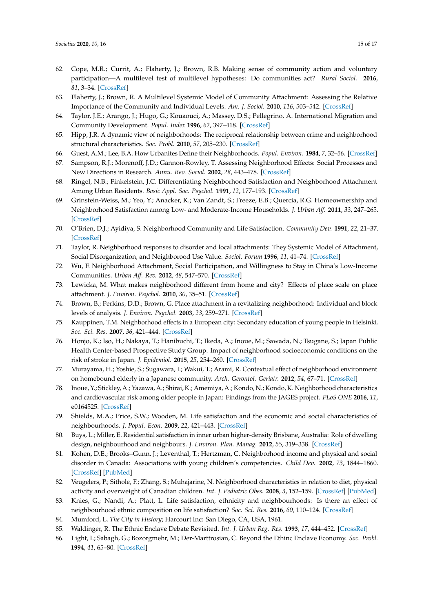- <span id="page-16-0"></span>62. Cope, M.R.; Currit, A.; Flaherty, J.; Brown, R.B. Making sense of community action and voluntary participation—A multilevel test of multilevel hypotheses: Do communities act? *Rural Sociol.* **2016**, *81*, 3–34. [\[CrossRef\]](http://dx.doi.org/10.1111/ruso.12085)
- <span id="page-16-1"></span>63. Flaherty, J.; Brown, R. A Multilevel Systemic Model of Community Attachment: Assessing the Relative Importance of the Community and Individual Levels. *Am. J. Sociol.* **2010**, *116*, 503–542. [\[CrossRef\]](http://dx.doi.org/10.1086/653600)
- <span id="page-16-2"></span>64. Taylor, J.E.; Arango, J.; Hugo, G.; Kouaouci, A.; Massey, D.S.; Pellegrino, A. International Migration and Community Development. *Popul. Index* **1996**, *62*, 397–418. [\[CrossRef\]](http://dx.doi.org/10.2307/3645924)
- <span id="page-16-3"></span>65. Hipp, J.R. A dynamic view of neighborhoods: The reciprocal relationship between crime and neighborhood structural characteristics. *Soc. Probl.* **2010**, *57*, 205–230. [\[CrossRef\]](http://dx.doi.org/10.1525/sp.2010.57.2.205)
- <span id="page-16-4"></span>66. Guest, A.M.; Lee, B.A. How Urbanites Define their Neighborhoods. *Popul. Environ.* **1984**, *7*, 32–56. [\[CrossRef\]](http://dx.doi.org/10.1007/BF01257471)
- <span id="page-16-5"></span>67. Sampson, R.J.; Morenoff, J.D.; Gannon-Rowley, T. Assessing Neighborhood Effects: Social Processes and New Directions in Research. *Annu. Rev. Sociol.* **2002**, *28*, 443–478. [\[CrossRef\]](http://dx.doi.org/10.1146/annurev.soc.28.110601.141114)
- <span id="page-16-6"></span>68. Ringel, N.B.; Finkelstein, J.C. Differentiating Neighborhood Satisfaction and Neighborhood Attachment Among Urban Residents. *Basic Appl. Soc. Psychol.* **1991**, *12*, 177–193. [\[CrossRef\]](http://dx.doi.org/10.1207/s15324834basp1202_4)
- <span id="page-16-7"></span>69. Grinstein-Weiss, M.; Yeo, Y.; Anacker, K.; Van Zandt, S.; Freeze, E.B.; Quercia, R.G. Homeownership and Neighborhood Satisfaction among Low- and Moderate-Income Households. *J. Urban A*ff*.* **2011**, *33*, 247–265. [\[CrossRef\]](http://dx.doi.org/10.1111/j.1467-9906.2011.00549.x)
- <span id="page-16-8"></span>70. O'Brien, D.J.; Ayidiya, S. Neighborhood Community and Life Satisfaction. *Community Dev.* **1991**, *22*, 21–37. [\[CrossRef\]](http://dx.doi.org/10.1080/15575339109489949)
- <span id="page-16-9"></span>71. Taylor, R. Neighborhood responses to disorder and local attachments: They Systemic Model of Attachment, Social Disorganization, and Neighborood Use Value. *Sociol. Forum* **1996**, *11*, 41–74. [\[CrossRef\]](http://dx.doi.org/10.1007/BF02408301)
- <span id="page-16-10"></span>72. Wu, F. Neighborhood Attachment, Social Participation, and Willingness to Stay in China's Low-Income Communities. *Urban A*ff*. Rev.* **2012**, *48*, 547–570. [\[CrossRef\]](http://dx.doi.org/10.1177/1078087411436104)
- <span id="page-16-11"></span>73. Lewicka, M. What makes neighborhood different from home and city? Effects of place scale on place attachment. *J. Environ. Psychol.* **2010**, *30*, 35–51. [\[CrossRef\]](http://dx.doi.org/10.1016/j.jenvp.2009.05.004)
- <span id="page-16-12"></span>74. Brown, B.; Perkins, D.D.; Brown, G. Place attachment in a revitalizing neighborhood: Individual and block levels of analysis. *J. Environ. Psychol.* **2003**, *23*, 259–271. [\[CrossRef\]](http://dx.doi.org/10.1016/S0272-4944(02)00117-2)
- <span id="page-16-13"></span>75. Kauppinen, T.M. Neighborhood effects in a European city: Secondary education of young people in Helsinki. *Soc. Sci. Res.* **2007**, *36*, 421–444. [\[CrossRef\]](http://dx.doi.org/10.1016/j.ssresearch.2006.04.003)
- <span id="page-16-14"></span>76. Honjo, K.; Iso, H.; Nakaya, T.; Hanibuchi, T.; Ikeda, A.; Inoue, M.; Sawada, N.; Tsugane, S.; Japan Public Health Center-based Prospective Study Group. Impact of neighborhood socioeconomic conditions on the risk of stroke in Japan. *J. Epidemiol.* **2015**, *25*, 254–260. [\[CrossRef\]](http://dx.doi.org/10.2188/jea.JE20140117)
- <span id="page-16-15"></span>77. Murayama, H.; Yoshie, S.; Sugawara, I.; Wakui, T.; Arami, R. Contextual effect of neighborhood environment on homebound elderly in a Japanese community. *Arch. Gerontol. Geriatr.* **2012**, *54*, 67–71. [\[CrossRef\]](http://dx.doi.org/10.1016/j.archger.2011.03.016)
- <span id="page-16-16"></span>78. Inoue, Y.; Stickley, A.; Yazawa, A.; Shirai, K.; Amemiya, A.; Kondo, N.; Kondo, K. Neighborhood characteristics and cardiovascular risk among older people in Japan: Findings from the JAGES project. *PLoS ONE* **2016**, *11*, e0164525. [\[CrossRef\]](http://dx.doi.org/10.1371/journal.pone.0164525)
- <span id="page-16-17"></span>79. Shields, M.A.; Price, S.W.; Wooden, M. Life satisfaction and the economic and social characteristics of neighbourhoods. *J. Popul. Econ.* **2009**, *22*, 421–443. [\[CrossRef\]](http://dx.doi.org/10.1007/s00148-007-0146-7)
- <span id="page-16-18"></span>80. Buys, L.; Miller, E. Residential satisfaction in inner urban higher-density Brisbane, Australia: Role of dwelling design, neighbourhood and neighbours. *J. Environ. Plan. Manag.* **2012**, *55*, 319–338. [\[CrossRef\]](http://dx.doi.org/10.1080/09640568.2011.597592)
- <span id="page-16-19"></span>81. Kohen, D.E.; Brooks–Gunn, J.; Leventhal, T.; Hertzman, C. Neighborhood income and physical and social disorder in Canada: Associations with young children's competencies. *Child Dev.* **2002**, *73*, 1844–1860. [\[CrossRef\]](http://dx.doi.org/10.1111/1467-8624.t01-1-00510) [\[PubMed\]](http://www.ncbi.nlm.nih.gov/pubmed/12487498)
- <span id="page-16-20"></span>82. Veugelers, P.; Sithole, F.; Zhang, S.; Muhajarine, N. Neighborhood characteristics in relation to diet, physical activity and overweight of Canadian children. *Int. J. Pediatric Obes.* **2008**, *3*, 152–159. [\[CrossRef\]](http://dx.doi.org/10.1080/17477160801970278) [\[PubMed\]](http://www.ncbi.nlm.nih.gov/pubmed/19086297)
- <span id="page-16-21"></span>83. Knies, G.; Nandi, A.; Platt, L. Life satisfaction, ethnicity and neighbourhoods: Is there an effect of neighbourhood ethnic composition on life satisfaction? *Soc. Sci. Res.* **2016**, *60*, 110–124. [\[CrossRef\]](http://dx.doi.org/10.1016/j.ssresearch.2016.01.010)
- <span id="page-16-22"></span>84. Mumford, L. *The City in History*; Harcourt Inc: San Diego, CA, USA, 1961.
- <span id="page-16-23"></span>85. Waldinger, R. The Ethnic Enclave Debate Revisited. *Int. J. Urban Reg. Res.* **1993**, *17*, 444–452. [\[CrossRef\]](http://dx.doi.org/10.1111/j.1468-2427.1993.tb00232.x)
- 86. Light, I.; Sabagh, G.; Bozorgmehr, M.; Der-Marttrosian, C. Beyond the Ethinc Enclave Economy. *Soc. Probl.* **1994**, *41*, 65–80. [\[CrossRef\]](http://dx.doi.org/10.2307/3096842)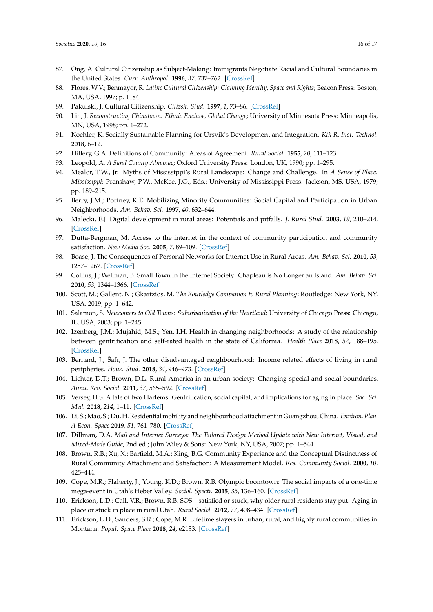- 87. Ong, A. Cultural Citizenship as Subject-Making: Immigrants Negotiate Racial and Cultural Boundaries in the United States. *Curr. Anthropol.* **1996**, *37*, 737–762. [\[CrossRef\]](http://dx.doi.org/10.1086/204560)
- 88. Flores, W.V.; Benmayor, R. *Latino Cultural Citizenship: Claiming Identity, Space and Rights*; Beacon Press: Boston, MA, USA, 1997; p. 1184.
- 89. Pakulski, J. Cultural Citizenship. *Citizsh. Stud.* **1997**, *1*, 73–86. [\[CrossRef\]](http://dx.doi.org/10.1080/13621029708420648)
- <span id="page-17-0"></span>90. Lin, J. *Reconstructing Chinatown: Ethnic Enclave, Global Change*; University of Minnesota Press: Minneapolis, MN, USA, 1998; pp. 1–272.
- <span id="page-17-1"></span>91. Koehler, K. Socially Sustainable Planning for Ursvik's Development and Integration. *Kth R. Inst. Technol.* **2018**, 6–12.
- <span id="page-17-2"></span>92. Hillery, G.A. Definitions of Community: Areas of Agreement. *Rural Sociol.* **1955**, *20*, 111–123.
- <span id="page-17-3"></span>93. Leopold, A. *A Sand County Almanac*; Oxford University Press: London, UK, 1990; pp. 1–295.
- <span id="page-17-4"></span>94. Mealor, T.W., Jr. Myths of Mississippi's Rural Landscape: Change and Challenge. In *A Sense of Place: Mississippi*; Prenshaw, P.W., McKee, J.O., Eds.; University of Mississippi Press: Jackson, MS, USA, 1979; pp. 189–215.
- <span id="page-17-5"></span>95. Berry, J.M.; Portney, K.E. Mobilizing Minority Communities: Social Capital and Participation in Urban Neighborhoods. *Am. Behav. Sci.* **1997**, *40*, 632–644.
- <span id="page-17-6"></span>96. Malecki, E.J. Digital development in rural areas: Potentials and pitfalls. *J. Rural Stud.* **2003**, *19*, 210–214. [\[CrossRef\]](http://dx.doi.org/10.1016/S0743-0167(02)00068-2)
- <span id="page-17-17"></span>97. Dutta-Bergman, M. Access to the internet in the context of community participation and community satisfaction. *New Media Soc.* **2005**, *7*, 89–109. [\[CrossRef\]](http://dx.doi.org/10.1177/1461444805049146)
- 98. Boase, J. The Consequences of Personal Networks for Internet Use in Rural Areas. *Am. Behav. Sci.* **2010**, *53*, 1257–1267. [\[CrossRef\]](http://dx.doi.org/10.1177/0002764210361681)
- <span id="page-17-18"></span>99. Collins, J.; Wellman, B. Small Town in the Internet Society: Chapleau is No Longer an Island. *Am. Behav. Sci.* **2010**, *53*, 1344–1366. [\[CrossRef\]](http://dx.doi.org/10.1177/0002764210361689)
- <span id="page-17-8"></span>100. Scott, M.; Gallent, N.; Gkartzios, M. *The Routledge Companion to Rural Planning*; Routledge: New York, NY, USA, 2019; pp. 1–642.
- <span id="page-17-9"></span>101. Salamon, S. *Newcomers to Old Towns: Suburbanization of the Heartland*; University of Chicago Press: Chicago, IL, USA, 2003; pp. 1–245.
- <span id="page-17-10"></span>102. Izenberg, J.M.; Mujahid, M.S.; Yen, I.H. Health in changing neighborhoods: A study of the relationship between gentrification and self-rated health in the state of California. *Health Place* **2018**, *52*, 188–195. [\[CrossRef\]](http://dx.doi.org/10.1016/j.healthplace.2018.06.002)
- <span id="page-17-7"></span>103. Bernard, J.; Šafr, J. The other disadvantaged neighbourhood: Income related effects of living in rural peripheries. *Hous. Stud.* **2018**, *34*, 946–973. [\[CrossRef\]](http://dx.doi.org/10.1080/02673037.2018.1504008)
- <span id="page-17-11"></span>104. Lichter, D.T.; Brown, D.L. Rural America in an urban society: Changing special and social boundaries. *Annu. Rev. Sociol.* **2011**, *37*, 565–592. [\[CrossRef\]](http://dx.doi.org/10.1146/annurev-soc-081309-150208)
- <span id="page-17-12"></span>105. Versey, H.S. A tale of two Harlems: Gentrification, social capital, and implications for aging in place. *Soc. Sci. Med.* **2018**, *214*, 1–11. [\[CrossRef\]](http://dx.doi.org/10.1016/j.socscimed.2018.07.024)
- <span id="page-17-13"></span>106. Li, S.; Mao, S.; Du, H. Residential mobility and neighbourhood attachment in Guangzhou, China. *Environ. Plan. A Econ. Space* **2019**, *51*, 761–780. [\[CrossRef\]](http://dx.doi.org/10.1177/0308518X18804828)
- <span id="page-17-14"></span>107. Dillman, D.A. *Mail and Internet Surveys: The Tailored Design Method Update with New Internet, Visual, and Mixed-Mode Guide*, 2nd ed.; John Wiley & Sons: New York, NY, USA, 2007; pp. 1–544.
- <span id="page-17-15"></span>108. Brown, R.B.; Xu, X.; Barfield, M.A.; King, B.G. Community Experience and the Conceptual Distinctness of Rural Community Attachment and Satisfaction: A Measurement Model. *Res. Community Sociol.* **2000**, *10*, 425–444.
- 109. Cope, M.R.; Flaherty, J.; Young, K.D.; Brown, R.B. Olympic boomtown: The social impacts of a one-time mega-event in Utah's Heber Valley. *Sociol. Spectr.* **2015**, *35*, 136–160. [\[CrossRef\]](http://dx.doi.org/10.1080/02732173.2014.1000553)
- 110. Erickson, L.D.; Call, V.R.; Brown, R.B. SOS—satisfied or stuck, why older rural residents stay put: Aging in place or stuck in place in rural Utah. *Rural Sociol.* **2012**, *77*, 408–434. [\[CrossRef\]](http://dx.doi.org/10.1111/j.1549-0831.2012.00084.x)
- <span id="page-17-16"></span>111. Erickson, L.D.; Sanders, S.R.; Cope, M.R. Lifetime stayers in urban, rural, and highly rural communities in Montana. *Popul. Space Place* **2018**, *24*, e2133. [\[CrossRef\]](http://dx.doi.org/10.1002/psp.2133)